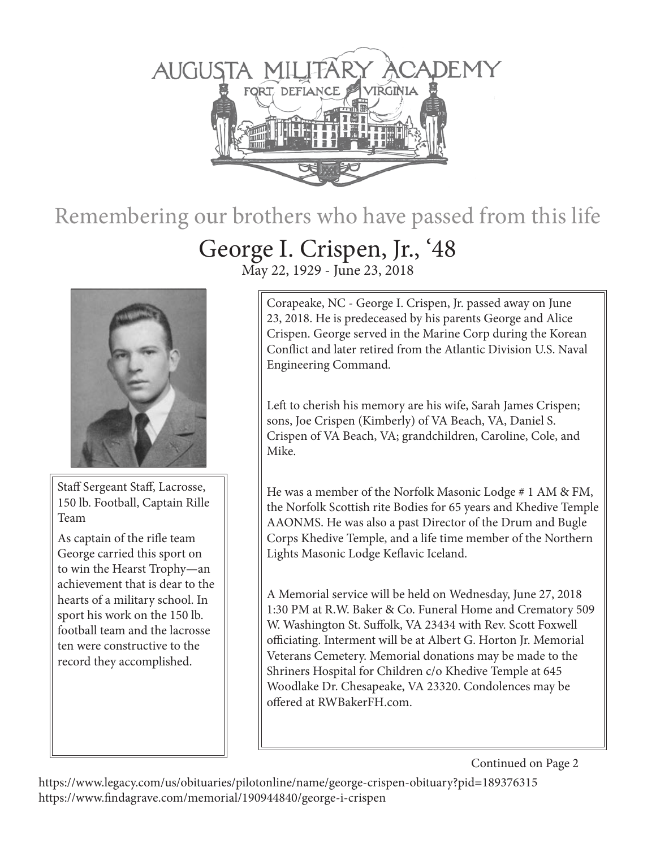

## Remembering our brothers who have passed from this life

## George I. Crispen, Jr., '48 May 22, 1929 - June 23, 2018



Staff Sergeant Staff, Lacrosse, 150 lb. Football, Captain Rille Team

As captain of the rifle team George carried this sport on to win the Hearst Trophy—an achievement that is dear to the hearts of a military school. In sport his work on the 150 lb. football team and the lacrosse ten were constructive to the record they accomplished.

Corapeake, NC - George I. Crispen, Jr. passed away on June 23, 2018. He is predeceased by his parents George and Alice Crispen. George served in the Marine Corp during the Korean Conflict and later retired from the Atlantic Division U.S. Naval Engineering Command.

Left to cherish his memory are his wife, Sarah James Crispen; sons, Joe Crispen (Kimberly) of VA Beach, VA, Daniel S. Crispen of VA Beach, VA; grandchildren, Caroline, Cole, and Mike.

He was a member of the Norfolk Masonic Lodge # 1 AM & FM, the Norfolk Scottish rite Bodies for 65 years and Khedive Temple AAONMS. He was also a past Director of the Drum and Bugle Corps Khedive Temple, and a life time member of the Northern Lights Masonic Lodge Keflavic Iceland.

A Memorial service will be held on Wednesday, June 27, 2018 1:30 PM at R.W. Baker & Co. Funeral Home and Crematory 509 W. Washington St. Suffolk, VA 23434 with Rev. Scott Foxwell officiating. Interment will be at Albert G. Horton Jr. Memorial Veterans Cemetery. Memorial donations may be made to the Shriners Hospital for Children c/o Khedive Temple at 645 Woodlake Dr. Chesapeake, VA 23320. Condolences may be offered at RWBakerFH.com.

Continued on Page 2

https://www.legacy.com/us/obituaries/pilotonline/name/george-crispen-obituary?pid=189376315 https://www.findagrave.com/memorial/190944840/george-i-crispen